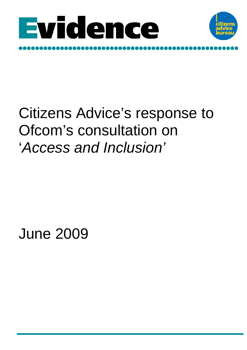



# Citizens Advice's response to Ofcom's consultation on '*Access and Inclusion'*

June 2009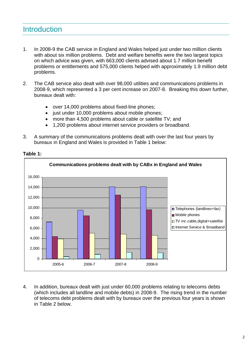# **Introduction**

- 1. In 2008-9 the CAB service in England and Wales helped just under two million clients with about six million problems. Debt and welfare benefits were the two largest topics on which advice was given, with 663,000 clients advised about 1.7 million benefit problems or entitlements and 575,000 clients helped with approximately 1.9 million debt problems.
- 2. The CAB service also dealt with over 98,000 utilities and communications problems in 2008-9, which represented a 3 per cent increase on 2007-8. Breaking this down further, bureaux dealt with:
	- over 14,000 problems about fixed-line phones;
	- just under 10,000 problems about mobile phones;
	- more than 4,500 problems about cable or satellite TV; and
	- 1,200 problems about internet service providers or broadband.
- 3. A summary of the communications problems dealt with over the last four years by bureaux in England and Wales is provided in Table 1 below:



**Table 1:** 

4. In addition, bureaux dealt with just under 60,000 problems relating to telecoms debts (which includes all landline and mobile debts) in 2008-9. The rising trend in the number of telecoms debt problems dealt with by bureaux over the previous four years is shown in Table 2 below.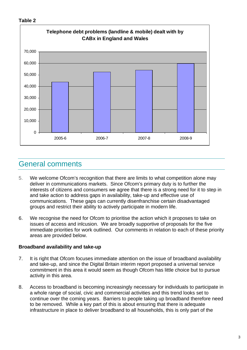#### **Table 2**



# General comments

- 5. We welcome Ofcom's recognition that there are limits to what competition alone may deliver in communications markets. Since Ofcom's primary duty is to further the interests of citizens and consumers we agree that there is a strong need for it to step in and take action to address gaps in availability, take-up and effective use of communications. These gaps can currently disenfranchise certain disadvantaged groups and restrict their ability to actively participate in modern life.
- 6. We recognise the need for Ofcom to prioritise the action which it proposes to take on issues of access and inlcusion. We are broadly supportive of proposals for the five immediate priorities for work outlined. Our comments in relation to each of these priority areas are provided below.

### **Broadband availability and take-up**

- 7. It is right that Ofcom focuses immediate attention on the issue of broadband availability and take-up, and since the Digital Britain interim report proposed a universal service commitment in this area it would seem as though Ofcom has little choice but to pursue activity in this area.
- 8. Access to broadband is becoming increasingly necessary for individuals to participate in a whole range of social, civic and commercial activities and this trend looks set to continue over the coming years. Barriers to people taking up broadband therefore need to be removed. While a key part of this is about ensuring that there is adequate infrastructure in place to deliver broadband to all households, this is only part of the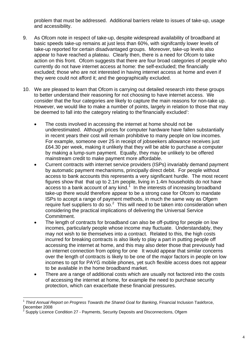problem that must be addressed. Additional barriers relate to issues of take-up, usage and accessibility.

- 9. As Ofcom note in respect of take-up, despite widespread availability of broadband at basic speeds take-up remains at just less than 60%, with signifcantly lower levels of take-up reported for certain disadvantaged groups. Moreover, take-up levels also appear to have reached a plateau. Clearly then, there is a need for Ofcom to take action on this front. Ofcom suggests that there are four broad categories of people who currently do not have internet access at home: the self-excluded; the financially excluded; those who are not interested in having internet access at home and even if they were could not afford it; and the geographically excluded.
- 10. We are pleased to learn that Ofcom is carrying out detailed research into these groups to better understand their reasoning for not choosing to have internet access. We consider that the four categories are likely to capture the main reasons for non-take up. However, we would like to make a number of points, largely in relation to those that may be deemed to fall into the category relating to the'financially excluded':
	- The costs involved in accessing the internet at home should not be underestimated. Although prices for computer hardware have fallen substantially in recent years their cost will remain prohibitive to many people on low incomes. For example, someone over 25 in receipt of jobseekers allowance receives just £64.30 per week, making it unlikely that they will be able to purchase a computer by making a lump-sum payment. Equally, they may be unlikely to be offered mainstream credit to make payment more affordable.
	- Current contracts with internet service providers (ISPs) invariably demand payment by automatic payment mechanisms, principally direct debit. For people without access to bank accounts this represents a very significant hurdle. The most recent figures show that that up to 2.1m people, living in 1.4m households do not have  $access$  to a bank account of any kind. $1$  In the interests of increasing broadband take-up there would therefore appear to be a strong case for Ofcom to mandate ISPs to accept a range of payment methods, in much the same way as Ofgem require fuel suppliers to do so. $<sup>2</sup>$  $<sup>2</sup>$  $<sup>2</sup>$  This will need to be taken into consideration when</sup> considering the practical implications of delivering the Universal Service Commitment.
	- The length of contracts for broadband can also be off-putting for people on low incomes, particularly people whose income may fluctuate. Understandably, they may not wish to tie themselves into a contract. Related to this, the high costs incurred for breaking contracts is also likely to play a part in putting people off accessing the internet at home, and this may also deter those that previously had an internet connection from opting for one It would appear that similar concerns over the length of contracts is likely to be one of the major factors in people on low incomes to opt for PAYG mobile phones, yet such flexible access does not appear to be available in the home broadband market.
	- There are a range of additional costs which are usually not factored into the costs of accessing the internet at home, for example the need to purchase security protection, which can exacerbate these financial pressures.

l

<span id="page-3-0"></span><sup>1</sup> *Third Annual Report on Progress Towards the Shared Goal for Banking*, Financial Inclusion Taskforce, December 2008

<span id="page-3-1"></span><sup>2</sup> Supply Licence Condition 27 - Payments, Security Deposits and Disconnections, Ofgem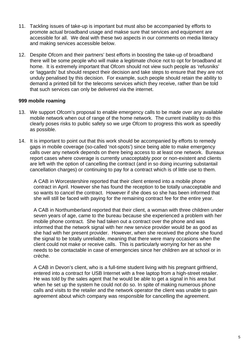- 11. Tackling issues of take-up is important but must also be accompanied by efforts to promote actual broadband usage and makse sure that services and equipment are accessible for all. We deal with these two aspects in our comments on media literacy and making services accessible below.
- 12. Despite Ofcom and their partners' best efforts in boosting the take-up of broadband there will be some people who will make a legitimate choice not to opt for broadband at home. It is extremely important that Ofcom should not view such people as 'refusniks' or 'laggards' but should respect their decision and take steps to ensure that they are not unduly penalised by this decision. For example, such people should retain the ability to demand a printed bill for the telecoms services which they receive, rather than be told that such services can only be delivered via the internet.

#### **999 mobile roaming**

- 13. We support Ofcom's proposal to enable emergency calls to be made over any available mobile network when out of range of the home network. The current inability to do this clearly poses risks to public safety so we urge Ofcom to progress this work as speedily as possible.
- 14. It is important to point out that this work should be accompanied by efforts to remedy gaps in mobile coverage (so-called 'not-spots') since being able to make emergency calls over any network depends on there being access to at least one network. Bureaux report cases where coverage is currently unacceptably poor or non-existent and clients are left with the option of cancelling the contract (and in so doing incurring substantail cancellation charges) or continuing to pay for a contract which is of little use to them.

A CAB in Worcestershire reported that their client entered into a mobile phone contract in April. However she has found the reception to be totally unacceptable and so wants to cancel the contract. However if she does so she has been informed that she will still be faced with paying for the remaining contract fee for the entire year.

A CAB in Northumberland reported that their client, a woman with three children under seven years of age, came to the bureau because she experienced a problem with her mobile phone contract. She had taken out a contract over the phone and was informed that the network signal with her new service provider would be as good as she had with her present provider. However, when she received the phone she found the signal to be totally unreliable, meaning that there were many occasions when the client could not make or receive calls. This is particularly worrying for her as she needs to be contactable in case of emergencies since her children are at school or in crèche.

A CAB in Devon's client, who is a full-time student living with his pregnant girlfriend, entered into a contract for USB Internet with a free laptop from a high-street retailer. He was told by the sales agent that he would be able to get a signal in his area but when he set up the system he could not do so. In spite of making numerous phone calls and visits to the retailer and the network operator the client was unable to gain agreement about which company was responsible for cancelling the agreement.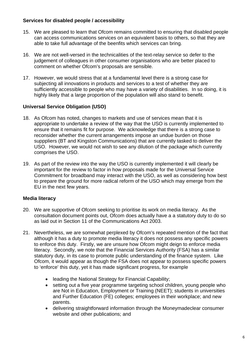### **Services for disabled people / accessibility**

- 15. We are pleased to learn that Ofcom remains committed to ensuring that disabled people can access communications services on an equivalent basis to others, so that they are able to take full advantage of the beenfits which services can bring.
- 16. We are not well-versed in the technicalities of the text-relay service so defer to the judgement of colleagues in other consumer organisations who are better placed to comment on whether Ofcom's proposals are sensible.
- 17. However, we would stress that at a fundamental level there is a strong case for subjecting all innovations in products and services to a test of whether they are sufficiently accessible to people who may have a variety of disabilities. In so doing, it is highly likely that a large proportion of the population will also stand to benefit.

## **Universal Service Obligation (USO)**

- 18. As Ofcom has noted, changes to markets and use of services mean that it is appropriate to undertake a review of the way that the USO is currently implemented to ensure that it remains fit for purpose. We acknowledge that there is a strong case to reconsider whether the current arrangements impose an undue burden on those supppliers (BT and Kingston Communications) that are currently tasked to deliver the USO. However, we would not wish to see any dilution of the package which currently comprises the USO.
- 19. As part of the review into the way the USO is currently implemented it will clearly be important for the review to factor in how proposals made for the Universal Service Commitment for broadband may interact with the USO, as well as considering how best to prepare the ground for more radical reform of the USO which may emerge from the EU in the next few years.

### **Media literacy**

- 20. We are supportive of Ofcom seeking to prioritise its work on media literacy. As the consultation document points out, Ofcom does actually have a a statutory duty to do so as laid out in Section 11 of the Communications Act 2003.
- 21. Nevertheless, we are somewhat perplexed by Ofcom's repeated mention of the fact that although it has a duty to promote media literacy it does not possess any specific powers to enforce this duty. Firstly, we are unsure how Ofcom might deign to enforce media literacy. Secondly, we note that the Financial Services Authority (FSA) has a similar statutory duty, in its case to promote public understanding of the finance system. Like Ofcom, it would appear as though the FSA does not appear to possess specific powers to 'enforce' this duty, yet it has made significant progress, for example
	- leading the National Strategy for Financial Capability;
	- setting out a five year programme targeting school children, young people who are Not in Education, Employment or Training (NEET); students in universities and Further Education (FE) colleges; employees in their workplace; and new parents.
	- delivering straightforward information through the Moneymadeclear consumer website and other publications; and